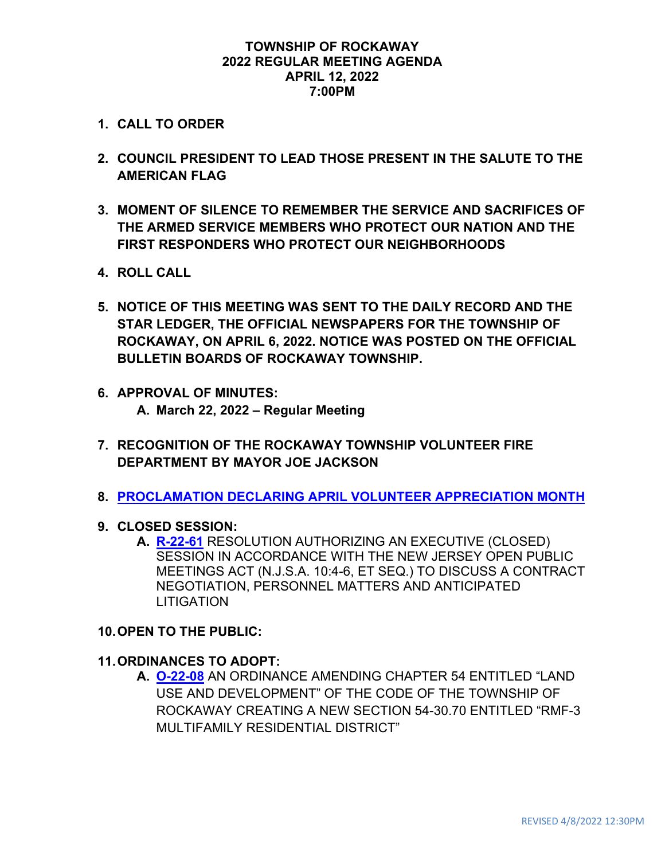#### **TOWNSHIP OF ROCKAWAY 2022 REGULAR MEETING AGENDA APRIL 12, 2022 7:00PM**

- **1. CALL TO ORDER**
- **2. COUNCIL PRESIDENT TO LEAD THOSE PRESENT IN THE SALUTE TO THE AMERICAN FLAG**
- **3. MOMENT OF SILENCE TO REMEMBER THE SERVICE AND SACRIFICES OF THE ARMED SERVICE MEMBERS WHO PROTECT OUR NATION AND THE FIRST RESPONDERS WHO PROTECT OUR NEIGHBORHOODS**
- **4. ROLL CALL**
- **5. NOTICE OF THIS MEETING WAS SENT TO THE DAILY RECORD AND THE STAR LEDGER, THE OFFICIAL NEWSPAPERS FOR THE TOWNSHIP OF ROCKAWAY, ON APRIL 6, 2022. NOTICE WAS POSTED ON THE OFFICIAL BULLETIN BOARDS OF ROCKAWAY TOWNSHIP.**
- **6. APPROVAL OF MINUTES: A. March 22, 2022 – Regular Meeting**
- **7. RECOGNITION OF THE ROCKAWAY TOWNSHIP VOLUNTEER FIRE DEPARTMENT BY MAYOR JOE JACKSON**
- **8. [PROCLAMATION DECLARING APRIL VOLUNTEER APPRECIATION MONTH](https://www.rockawaytownship.org/DocumentCenter/View/8311/National-Volunteer-Month-2022)**
- **9. CLOSED SESSION:**
	- **A. [R-22-61](https://www.rockawaytownship.org/DocumentCenter/View/8307/R-22-61-Closed-Session-Resolution-authorizing-the-discussion-of-contract-negotiation-personnel-matters-and-anticipated-litigation)** RESOLUTION AUTHORIZING AN EXECUTIVE (CLOSED) SESSION IN ACCORDANCE WITH THE NEW JERSEY OPEN PUBLIC MEETINGS ACT (N.J.S.A. 10:4-6, ET SEQ.) TO DISCUSS A CONTRACT NEGOTIATION, PERSONNEL MATTERS AND ANTICIPATED LITIGATION

### **10.OPEN TO THE PUBLIC:**

### **11.ORDINANCES TO ADOPT:**

**A. [O-22-08](https://www.rockawaytownship.org/DocumentCenter/View/8205/O-22-08-Draft-Ordinance-05)** AN ORDINANCE AMENDING CHAPTER 54 ENTITLED "LAND USE AND DEVELOPMENT" OF THE CODE OF THE TOWNSHIP OF ROCKAWAY CREATING A NEW SECTION 54-30.70 ENTITLED "RMF-3 MULTIFAMILY RESIDENTIAL DISTRICT"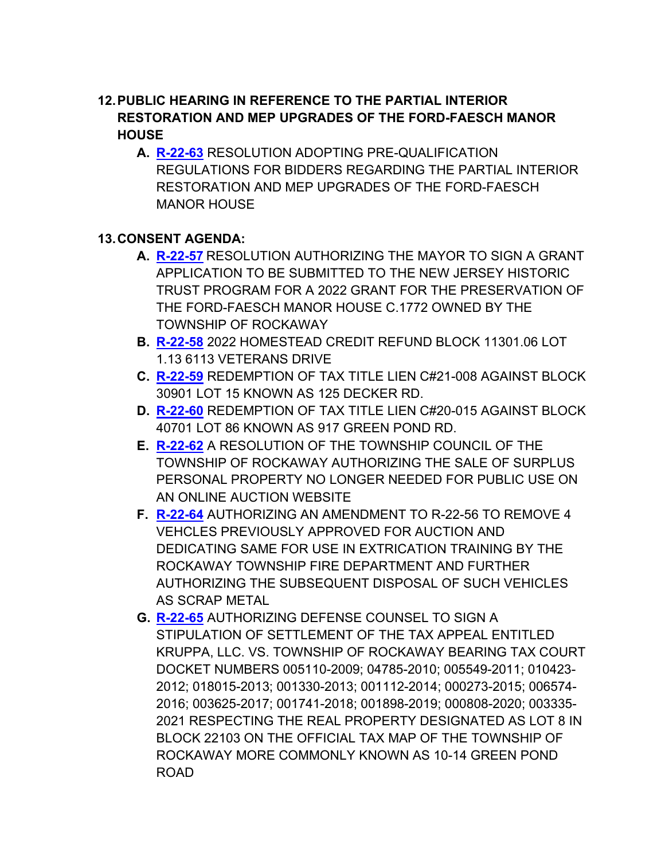## **12.PUBLIC HEARING IN REFERENCE TO THE PARTIAL INTERIOR RESTORATION AND MEP UPGRADES OF THE FORD-FAESCH MANOR HOUSE**

**A. [R-22-63](https://www.rockawaytownship.org/DocumentCenter/View/8309/R-22-63-Resolution-Adopting--Pre-Qualification-Regulations-2022)** RESOLUTION ADOPTING PRE-QUALIFICATION REGULATIONS FOR BIDDERS REGARDING THE PARTIAL INTERIOR RESTORATION AND MEP UPGRADES OF THE FORD-FAESCH MANOR HOUSE

### **13.CONSENT AGENDA:**

- **A. [R-22-57](https://www.rockawaytownship.org/DocumentCenter/View/8303/R-22-57-03-28-22-REVISED-Ford-Faesch-Grant-Resolution-for-NJHT-2022)** RESOLUTION AUTHORIZING THE MAYOR TO SIGN A GRANT APPLICATION TO BE SUBMITTED TO THE NEW JERSEY HISTORIC TRUST PROGRAM FOR A 2022 GRANT FOR THE PRESERVATION OF THE FORD-FAESCH MANOR HOUSE C.1772 OWNED BY THE TOWNSHIP OF ROCKAWAY
- **B. [R-22-58](https://www.rockawaytownship.org/DocumentCenter/View/8304/R-22-58-1130106-113-reso)** 2022 HOMESTEAD CREDIT REFUND BLOCK 11301.06 LOT 1.13 6113 VETERANS DRIVE
- **C. [R-22-59](https://www.rockawaytownship.org/DocumentCenter/View/8305/R-22-59-30901-15)** REDEMPTION OF TAX TITLE LIEN C#21-008 AGAINST BLOCK 30901 LOT 15 KNOWN AS 125 DECKER RD.
- **D. [R-22-60](https://www.rockawaytownship.org/DocumentCenter/View/8306/R-22-60-40701-86)** REDEMPTION OF TAX TITLE LIEN C#20-015 AGAINST BLOCK 40701 LOT 86 KNOWN AS 917 GREEN POND RD.
- **E. [R-22-62](https://www.rockawaytownship.org/DocumentCenter/View/8308/R-22-62-Auction-Resolution)** A RESOLUTION OF THE TOWNSHIP COUNCIL OF THE TOWNSHIP OF ROCKAWAY AUTHORIZING THE SALE OF SURPLUS PERSONAL PROPERTY NO LONGER NEEDED FOR PUBLIC USE ON AN ONLINE AUCTION WEBSITE
- **F. [R-22-64](https://www.rockawaytownship.org/DocumentCenter/View/8310/R-22-64-04-06-22-Resolution-to-Amend-R-22-56-and-to-approve-use-for-fire-training)** AUTHORIZING AN AMENDMENT TO R-22-56 TO REMOVE 4 VEHCLES PREVIOUSLY APPROVED FOR AUCTION AND DEDICATING SAME FOR USE IN EXTRICATION TRAINING BY THE ROCKAWAY TOWNSHIP FIRE DEPARTMENT AND FURTHER AUTHORIZING THE SUBSEQUENT DISPOSAL OF SUCH VEHICLES AS SCRAP METAL
- **G. [R-22-65](https://www.rockawaytownship.org/DocumentCenter/View/8312/R-22-65-04-04-22-Kruppa-LLC-v-Rockaway-Stip-of-Settlement-Resolution)** AUTHORIZING DEFENSE COUNSEL TO SIGN A STIPULATION OF SETTLEMENT OF THE TAX APPEAL ENTITLED KRUPPA, LLC. VS. TOWNSHIP OF ROCKAWAY BEARING TAX COURT DOCKET NUMBERS 005110-2009; 04785-2010; 005549-2011; 010423- 2012; 018015-2013; 001330-2013; 001112-2014; 000273-2015; 006574- 2016; 003625-2017; 001741-2018; 001898-2019; 000808-2020; 003335- 2021 RESPECTING THE REAL PROPERTY DESIGNATED AS LOT 8 IN BLOCK 22103 ON THE OFFICIAL TAX MAP OF THE TOWNSHIP OF ROCKAWAY MORE COMMONLY KNOWN AS 10-14 GREEN POND ROAD